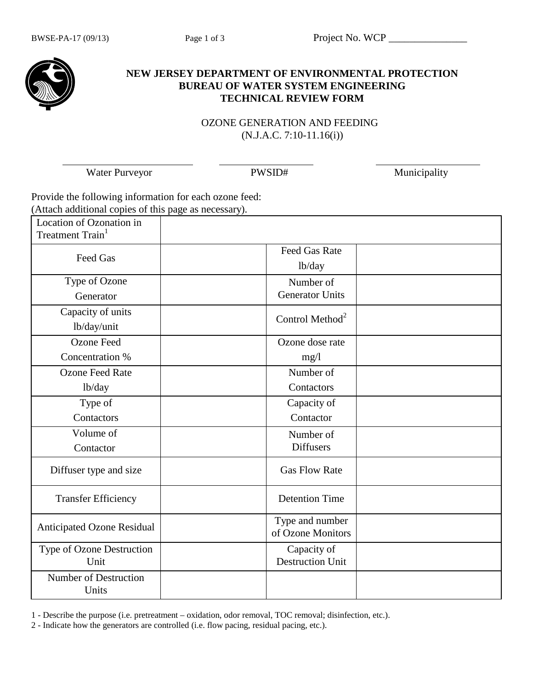

## **NEW JERSEY DEPARTMENT OF ENVIRONMENTAL PROTECTION BUREAU OF WATER SYSTEM ENGINEERING TECHNICAL REVIEW FORM**

 OZONE GENERATION AND FEEDING (N.J.A.C. 7:10-11.16(i))

Water Purveyor PWSID# PWSID# Municipality

Provide the following information for each ozone feed: (Attach additional copies of this page as necessary).

| Location of Ozonation in<br>Treatment Train <sup>1</sup> |                                        |  |
|----------------------------------------------------------|----------------------------------------|--|
| Feed Gas                                                 | <b>Feed Gas Rate</b><br>lb/day         |  |
| Type of Ozone<br>Generator                               | Number of<br><b>Generator Units</b>    |  |
| Capacity of units<br>lb/day/unit                         | Control Method <sup>2</sup>            |  |
| <b>Ozone Feed</b><br>Concentration %                     | Ozone dose rate<br>mg/l                |  |
| <b>Ozone Feed Rate</b><br>lb/day                         | Number of<br>Contactors                |  |
| Type of<br>Contactors                                    | Capacity of<br>Contactor               |  |
| Volume of<br>Contactor                                   | Number of<br><b>Diffusers</b>          |  |
| Diffuser type and size                                   | <b>Gas Flow Rate</b>                   |  |
| <b>Transfer Efficiency</b>                               | <b>Detention Time</b>                  |  |
| <b>Anticipated Ozone Residual</b>                        | Type and number<br>of Ozone Monitors   |  |
| Type of Ozone Destruction<br>Unit                        | Capacity of<br><b>Destruction Unit</b> |  |
| Number of Destruction<br>Units                           |                                        |  |

1 - Describe the purpose (i.e. pretreatment – oxidation, odor removal, TOC removal; disinfection, etc.).

2 - Indicate how the generators are controlled (i.e. flow pacing, residual pacing, etc.).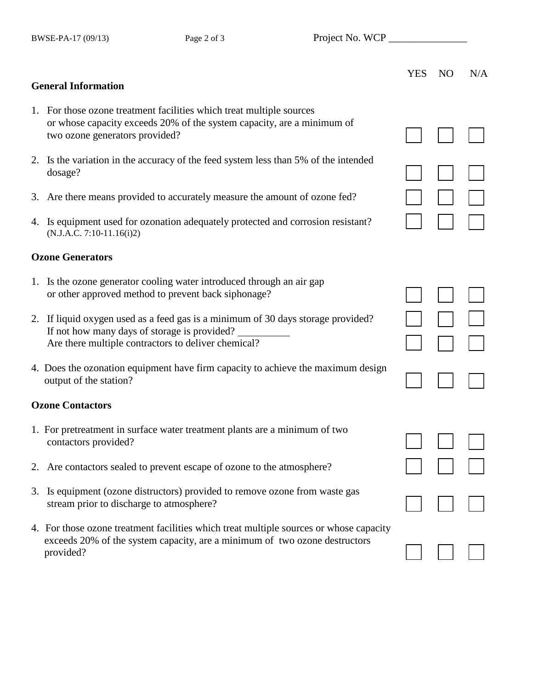BWSE-PA-17 (09/13) Page 2 of 3 Project No. WCP \_\_\_\_\_\_\_\_\_\_\_\_\_\_\_\_\_\_\_\_\_\_\_\_\_\_\_\_\_\_\_\_\_

|                                                                                                                                                                                         | <b>YES</b> | N <sub>O</sub> | N/A |
|-----------------------------------------------------------------------------------------------------------------------------------------------------------------------------------------|------------|----------------|-----|
| <b>General Information</b>                                                                                                                                                              |            |                |     |
| 1. For those ozone treatment facilities which treat multiple sources<br>or whose capacity exceeds 20% of the system capacity, are a minimum of<br>two ozone generators provided?        |            |                |     |
| 2. Is the variation in the accuracy of the feed system less than 5% of the intended<br>dosage?                                                                                          |            |                |     |
| 3. Are there means provided to accurately measure the amount of ozone fed?                                                                                                              |            |                |     |
| 4. Is equipment used for ozonation adequately protected and corrosion resistant?<br>$(N.J.A.C. 7:10-11.16(i)2)$                                                                         |            |                |     |
| <b>Ozone Generators</b>                                                                                                                                                                 |            |                |     |
| 1. Is the ozone generator cooling water introduced through an air gap<br>or other approved method to prevent back siphonage?                                                            |            |                |     |
| 2. If liquid oxygen used as a feed gas is a minimum of 30 days storage provided?<br>If not how many days of storage is provided?<br>Are there multiple contractors to deliver chemical? |            |                |     |
| 4. Does the ozonation equipment have firm capacity to achieve the maximum design<br>output of the station?                                                                              |            |                |     |
| <b>Ozone Contactors</b>                                                                                                                                                                 |            |                |     |
| 1. For pretreatment in surface water treatment plants are a minimum of two<br>contactors provided?                                                                                      |            |                |     |
| 2. Are contactors sealed to prevent escape of ozone to the atmosphere?                                                                                                                  |            |                |     |
| 3. Is equipment (ozone distructors) provided to remove ozone from waste gas<br>stream prior to discharge to atmosphere?                                                                 |            |                |     |
| 4. For those ozone treatment facilities which treat multiple sources or whose capacity<br>exceeds 20% of the system capacity, are a minimum of two ozone destructors<br>provided?       |            |                |     |
|                                                                                                                                                                                         |            |                |     |